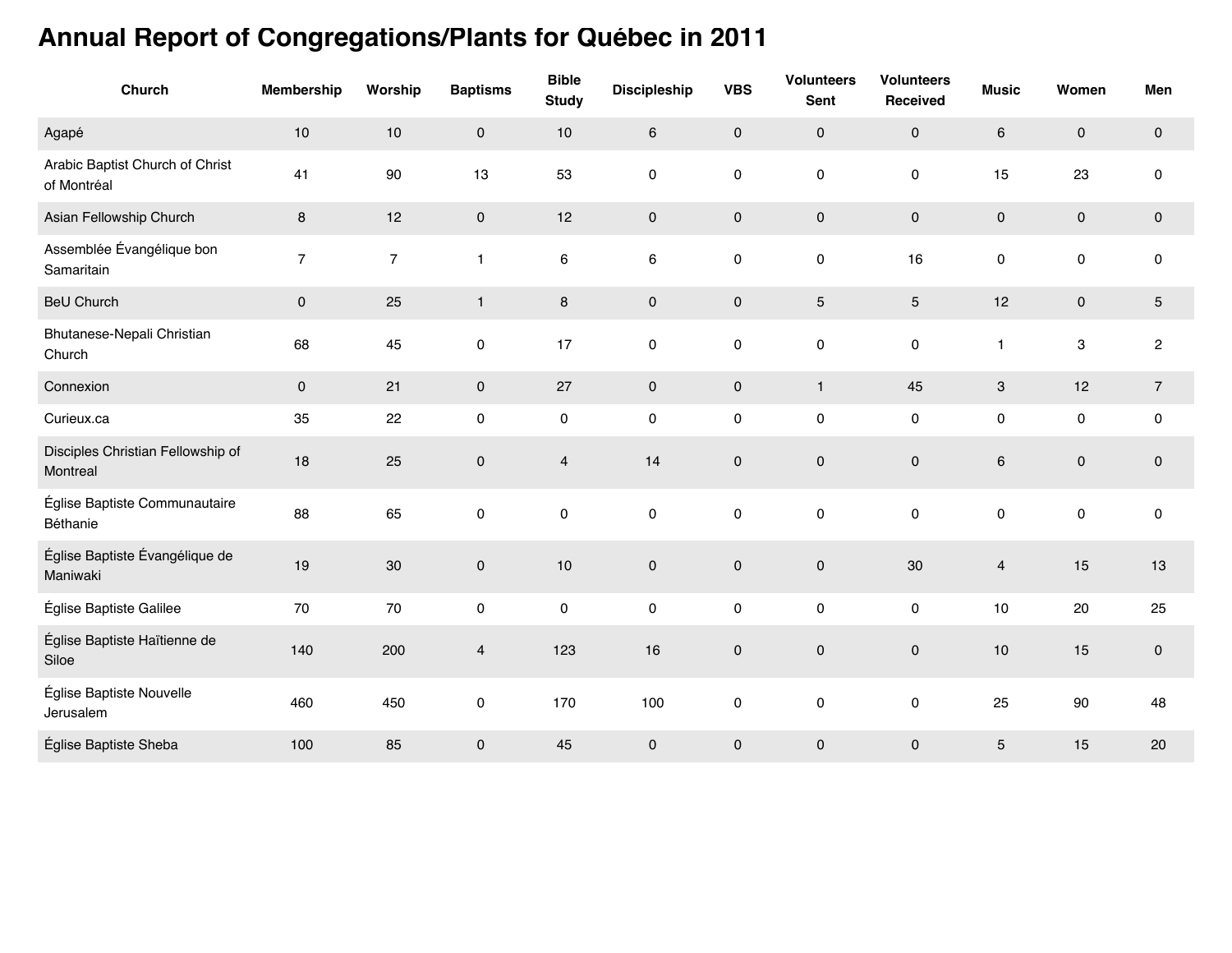## **Annual Report of Congregations/Plants for Québec in 2011**

| Church                                         | <b>Membership</b> | Worship        | <b>Baptisms</b>     | <b>Bible</b><br><b>Study</b> | <b>Discipleship</b> | <b>VBS</b>          | <b>Volunteers</b><br>Sent | <b>Volunteers</b><br>Received | <b>Music</b>              | Women                     | Men                 |
|------------------------------------------------|-------------------|----------------|---------------------|------------------------------|---------------------|---------------------|---------------------------|-------------------------------|---------------------------|---------------------------|---------------------|
| Agapé                                          | $10$              | $10$           | $\mathsf{O}\xspace$ | $10$                         | $\,6\,$             | $\pmb{0}$           | $\pmb{0}$                 | $\mathsf{O}\xspace$           | 6                         | $\pmb{0}$                 | $\mathsf{O}\xspace$ |
| Arabic Baptist Church of Christ<br>of Montréal | 41                | 90             | 13                  | 53                           | $\mathbf 0$         | 0                   | $\mathbf 0$               | 0                             | 15                        | 23                        | $\mathsf{O}\xspace$ |
| Asian Fellowship Church                        | 8                 | 12             | $\pmb{0}$           | 12                           | $\mathbf 0$         | $\pmb{0}$           | $\mathbf 0$               | $\mathsf{O}\xspace$           | $\mathsf{O}\xspace$       | $\pmb{0}$                 | $\mathsf{O}\xspace$ |
| Assemblée Évangélique bon<br>Samaritain        | $\overline{7}$    | $\overline{7}$ | $\mathbf{1}$        | 6                            | $\,6$               | $\mathsf 0$         | $\pmb{0}$                 | 16                            | 0                         | $\pmb{0}$                 | $\mathsf{O}\xspace$ |
| <b>BeU Church</b>                              | 0                 | 25             | $\mathbf{1}$        | $\bf 8$                      | $\pmb{0}$           | $\mathsf{O}\xspace$ | $\mathbf 5$               | $\sqrt{5}$                    | 12                        | $\pmb{0}$                 | $\sqrt{5}$          |
| Bhutanese-Nepali Christian<br>Church           | 68                | 45             | $\pmb{0}$           | 17                           | 0                   | $\pmb{0}$           | $\pmb{0}$                 | $\mathsf{O}\xspace$           | $\mathbf{1}$              | $\ensuremath{\mathsf{3}}$ | $\overline{c}$      |
| Connexion                                      | 0                 | 21             | $\mathsf{O}\xspace$ | 27                           | $\mathbf 0$         | $\mathsf{O}\xspace$ | $\mathbf{1}$              | 45                            | $\ensuremath{\mathsf{3}}$ | 12                        | $\overline{7}$      |
| Curieux.ca                                     | 35                | 22             | $\pmb{0}$           | 0                            | 0                   | $\pmb{0}$           | $\pmb{0}$                 | $\mathsf{O}\xspace$           | 0                         | $\pmb{0}$                 | $\pmb{0}$           |
| Disciples Christian Fellowship of<br>Montreal  | 18                | 25             | $\pmb{0}$           | $\overline{\mathbf{4}}$      | 14                  | $\mathsf{O}\xspace$ | $\pmb{0}$                 | $\pmb{0}$                     | $\,6$                     | $\mathsf{O}\xspace$       | $\pmb{0}$           |
| Église Baptiste Communautaire<br>Béthanie      | 88                | 65             | $\pmb{0}$           | 0                            | $\mathbf 0$         | 0                   | $\pmb{0}$                 | $\mathsf{O}\xspace$           | 0                         | $\pmb{0}$                 | $\mathsf{O}\xspace$ |
| Église Baptiste Évangélique de<br>Maniwaki     | 19                | 30             | $\pmb{0}$           | 10                           | $\mathbf 0$         | $\pmb{0}$           | $\mathbf 0$               | 30                            | $\overline{4}$            | 15                        | 13                  |
| Église Baptiste Galilee                        | 70                | 70             | $\pmb{0}$           | 0                            | 0                   | $\pmb{0}$           | $\pmb{0}$                 | 0                             | $10$                      | 20                        | 25                  |
| Église Baptiste Haïtienne de<br>Siloe          | 140               | 200            | $\overline{4}$      | 123                          | 16                  | $\mathsf{O}\xspace$ | $\pmb{0}$                 | $\mathbf 0$                   | $10$                      | 15                        | $\mathsf{O}\xspace$ |
| Église Baptiste Nouvelle<br>Jerusalem          | 460               | 450            | $\pmb{0}$           | 170                          | 100                 | $\pmb{0}$           | $\pmb{0}$                 | $\mathsf{O}\xspace$           | 25                        | 90                        | 48                  |
| Église Baptiste Sheba                          | 100               | 85             | $\pmb{0}$           | 45                           | $\mathbf 0$         | $\pmb{0}$           | $\mathbf 0$               | $\pmb{0}$                     | $\mathbf 5$               | 15                        | $20\,$              |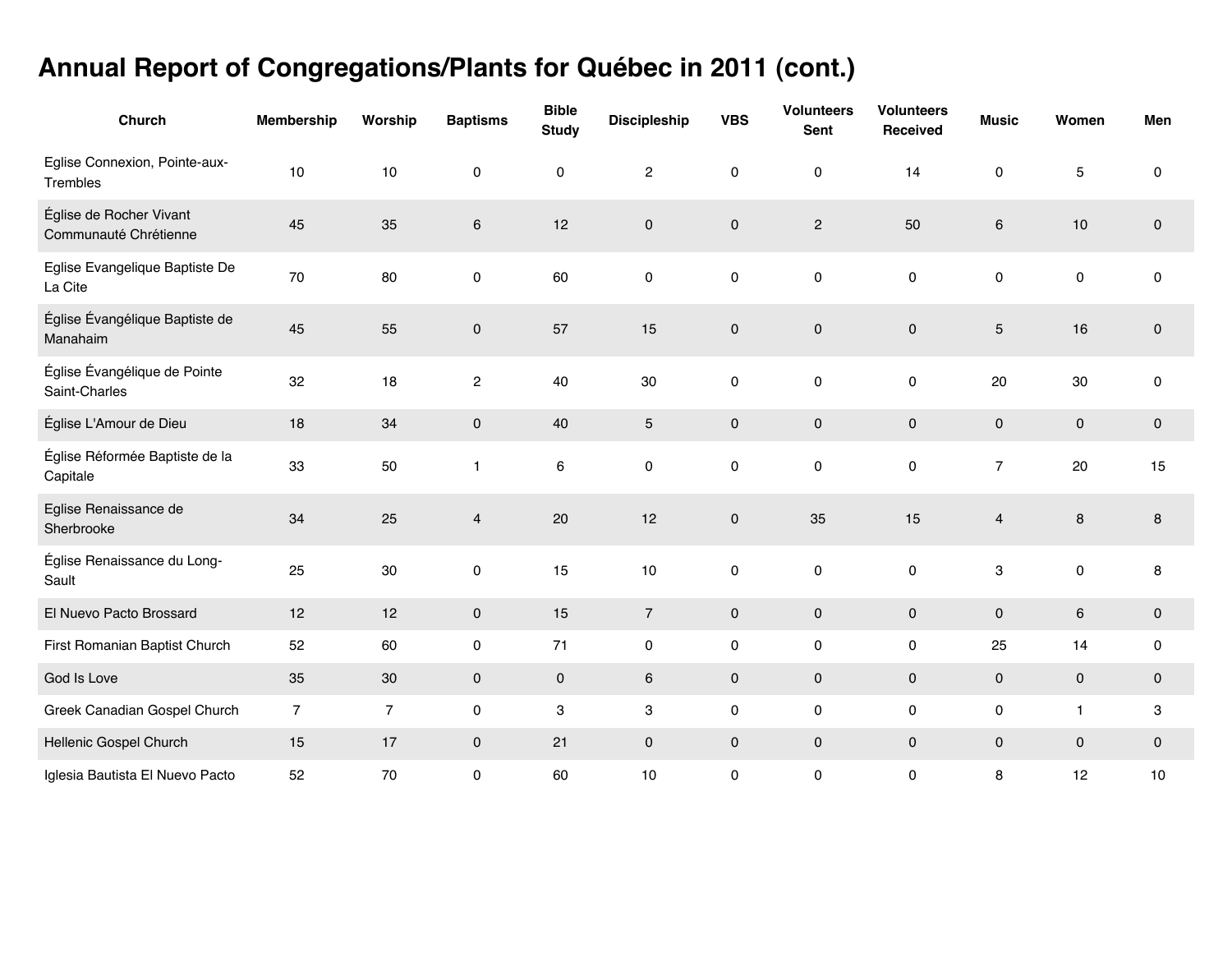## **Annual Report of Congregations/Plants for Québec in 2011 (cont.)**

| Church                                           | <b>Membership</b> | Worship        | <b>Baptisms</b>     | <b>Bible</b><br><b>Study</b> | <b>Discipleship</b>     | <b>VBS</b>          | <b>Volunteers</b><br><b>Sent</b> | <b>Volunteers</b><br>Received | <b>Music</b>            | Women        | Men         |
|--------------------------------------------------|-------------------|----------------|---------------------|------------------------------|-------------------------|---------------------|----------------------------------|-------------------------------|-------------------------|--------------|-------------|
| Eglise Connexion, Pointe-aux-<br>Trembles        | 10                | 10             | $\pmb{0}$           | 0                            | $\overline{\mathbf{c}}$ | $\pmb{0}$           | $\pmb{0}$                        | 14                            | 0                       | $\mathbf 5$  | $\mathbf 0$ |
| Église de Rocher Vivant<br>Communauté Chrétienne | 45                | 35             | $\,6\,$             | 12                           | $\pmb{0}$               | $\pmb{0}$           | $\sqrt{2}$                       | 50                            | 6                       | $10$         | $\mathbf 0$ |
| Eglise Evangelique Baptiste De<br>La Cite        | $70\,$            | 80             | $\pmb{0}$           | 60                           | $\mathsf 0$             | $\mathsf{o}$        | $\mathsf 0$                      | $\pmb{0}$                     | 0                       | $\mathsf 0$  | $\pmb{0}$   |
| Église Évangélique Baptiste de<br>Manahaim       | 45                | 55             | $\mathsf{O}\xspace$ | 57                           | 15                      | $\mathbf 0$         | $\pmb{0}$                        | $\mathbf 0$                   | 5                       | 16           | $\mathbf 0$ |
| Église Évangélique de Pointe<br>Saint-Charles    | 32                | 18             | $\overline{c}$      | 40                           | 30                      | $\pmb{0}$           | $\pmb{0}$                        | $\pmb{0}$                     | 20                      | 30           | $\pmb{0}$   |
| Église L'Amour de Dieu                           | 18                | 34             | $\mathsf{O}\xspace$ | 40                           | $\overline{5}$          | $\mathbf 0$         | $\mathbf 0$                      | $\mathbf 0$                   | $\mathbf 0$             | $\pmb{0}$    | $\mathbf 0$ |
| Église Réformée Baptiste de la<br>Capitale       | 33                | 50             | $\mathbf{1}$        | 6                            | $\pmb{0}$               | 0                   | $\pmb{0}$                        | $\pmb{0}$                     | $\overline{7}$          | 20           | 15          |
| Eglise Renaissance de<br>Sherbrooke              | 34                | 25             | $\overline{4}$      | 20                           | 12                      | $\pmb{0}$           | 35                               | 15                            | $\overline{\mathbf{4}}$ | 8            | 8           |
| Église Renaissance du Long-<br>Sault             | 25                | 30             | 0                   | 15                           | 10                      | 0                   | $\pmb{0}$                        | $\pmb{0}$                     | 3                       | $\mathsf 0$  | 8           |
| El Nuevo Pacto Brossard                          | 12                | 12             | $\mathbf 0$         | 15                           | $\sqrt{ }$              | $\mathsf{O}\xspace$ | $\pmb{0}$                        | $\pmb{0}$                     | 0                       | $\,6$        | $\pmb{0}$   |
| First Romanian Baptist Church                    | 52                | 60             | 0                   | 71                           | $\pmb{0}$               | 0                   | $\pmb{0}$                        | $\pmb{0}$                     | 25                      | 14           | $\pmb{0}$   |
| God Is Love                                      | 35                | 30             | $\pmb{0}$           | $\mathsf{O}\xspace$          | $\,6\,$                 | $\mathsf{O}\xspace$ | $\pmb{0}$                        | $\pmb{0}$                     | $\mathbf 0$             | $\mathsf 0$  | $\pmb{0}$   |
| Greek Canadian Gospel Church                     | $\overline{7}$    | $\overline{7}$ | 0                   | 3                            | 3                       | 0                   | $\pmb{0}$                        | $\pmb{0}$                     | 0                       | $\mathbf{1}$ | 3           |
| Hellenic Gospel Church                           | $15\,$            | 17             | $\mathbf 0$         | 21                           | $\pmb{0}$               | $\mathsf{O}\xspace$ | $\pmb{0}$                        | $\mathbf 0$                   | $\mathsf{O}\xspace$     | $\mathsf 0$  | $\pmb{0}$   |
| Iglesia Bautista El Nuevo Pacto                  | 52                | $70\,$         | $\pmb{0}$           | 60                           | $10$                    | 0                   | $\pmb{0}$                        | $\pmb{0}$                     | 8                       | 12           | 10          |